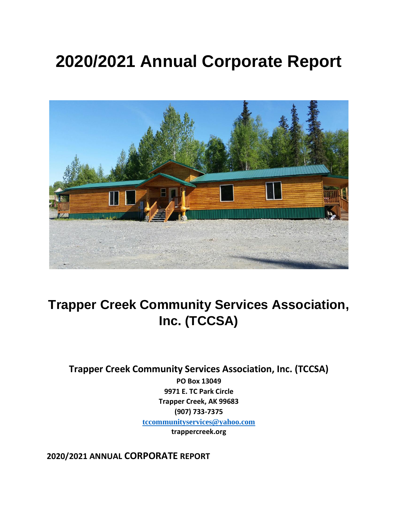# **2020/2021 Annual Corporate Report**



## **Trapper Creek Community Services Association, Inc. (TCCSA)**

**Trapper Creek Community Services Association, Inc. (TCCSA)**

**PO Box 13049 9971 E. TC Park Circle Trapper Creek, AK 99683 (907) 733-7375 [tccommunityservices@yahoo.com](mailto:tccommunityservices@yahoo.com) trappercreek.org**

**2020/2021 ANNUAL CORPORATE REPORT**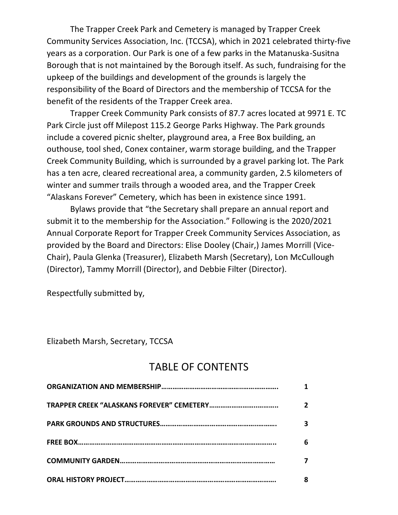The Trapper Creek Park and Cemetery is managed by Trapper Creek Community Services Association, Inc. (TCCSA), which in 2021 celebrated thirty-five years as a corporation. Our Park is one of a few parks in the Matanuska-Susitna Borough that is not maintained by the Borough itself. As such, fundraising for the upkeep of the buildings and development of the grounds is largely the responsibility of the Board of Directors and the membership of TCCSA for the benefit of the residents of the Trapper Creek area.

Trapper Creek Community Park consists of 87.7 acres located at 9971 E. TC Park Circle just off Milepost 115.2 George Parks Highway. The Park grounds include a covered picnic shelter, playground area, a Free Box building, an outhouse, tool shed, Conex container, warm storage building, and the Trapper Creek Community Building, which is surrounded by a gravel parking lot. The Park has a ten acre, cleared recreational area, a community garden, 2.5 kilometers of winter and summer trails through a wooded area, and the Trapper Creek "Alaskans Forever" Cemetery, which has been in existence since 1991.

Bylaws provide that "the Secretary shall prepare an annual report and submit it to the membership for the Association." Following is the 2020/2021 Annual Corporate Report for Trapper Creek Community Services Association, as provided by the Board and Directors: Elise Dooley (Chair,) James Morrill (Vice-Chair), Paula Glenka (Treasurer), Elizabeth Marsh (Secretary), Lon McCullough (Director), Tammy Morrill (Director), and Debbie Filter (Director).

Respectfully submitted by,

Elizabeth Marsh, Secretary, TCCSA

## TABLE OF CONTENTS

| $\overline{2}$ |
|----------------|
| 3              |
| 6              |
|                |
| 8              |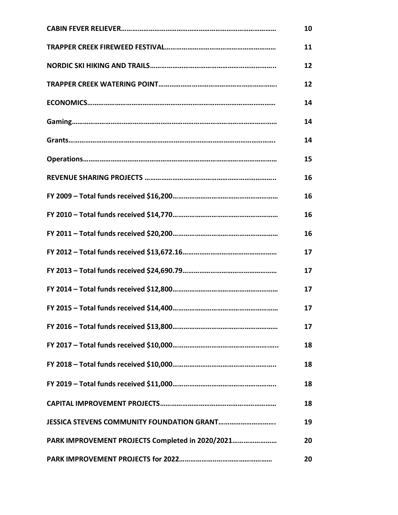|                                                   | 10 |
|---------------------------------------------------|----|
|                                                   | 11 |
|                                                   | 12 |
|                                                   | 12 |
|                                                   | 14 |
|                                                   | 14 |
|                                                   | 14 |
|                                                   | 15 |
|                                                   | 16 |
|                                                   | 16 |
|                                                   | 16 |
|                                                   | 16 |
|                                                   | 17 |
|                                                   | 17 |
|                                                   | 17 |
|                                                   | 17 |
|                                                   | 17 |
|                                                   | 18 |
|                                                   | 18 |
|                                                   | 18 |
|                                                   | 18 |
| <b>JESSICA STEVENS COMMUNITY FOUNDATION GRANT</b> | 19 |
| PARK IMPROVEMENT PROJECTS Completed in 2020/2021  | 20 |
|                                                   | 20 |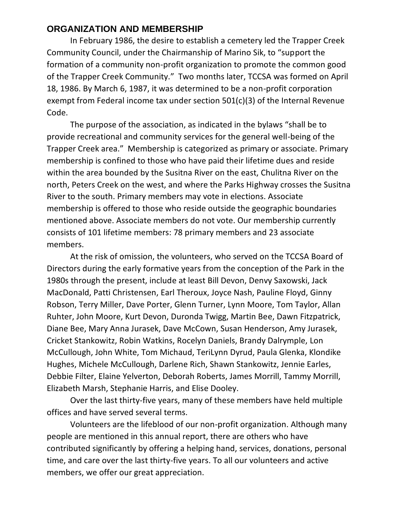#### **ORGANIZATION AND MEMBERSHIP**

In February 1986, the desire to establish a cemetery led the Trapper Creek Community Council, under the Chairmanship of Marino Sik, to "support the formation of a community non-profit organization to promote the common good of the Trapper Creek Community." Two months later, TCCSA was formed on April 18, 1986. By March 6, 1987, it was determined to be a non-profit corporation exempt from Federal income tax under section 501(c)(3) of the Internal Revenue Code.

The purpose of the association, as indicated in the bylaws "shall be to provide recreational and community services for the general well-being of the Trapper Creek area." Membership is categorized as primary or associate. Primary membership is confined to those who have paid their lifetime dues and reside within the area bounded by the Susitna River on the east, Chulitna River on the north, Peters Creek on the west, and where the Parks Highway crosses the Susitna River to the south. Primary members may vote in elections. Associate membership is offered to those who reside outside the geographic boundaries mentioned above. Associate members do not vote. Our membership currently consists of 101 lifetime members: 78 primary members and 23 associate members.

At the risk of omission, the volunteers, who served on the TCCSA Board of Directors during the early formative years from the conception of the Park in the 1980s through the present, include at least Bill Devon, Denvy Saxowski, Jack MacDonald, Patti Christensen, Earl Theroux, Joyce Nash, Pauline Floyd, Ginny Robson, Terry Miller, Dave Porter, Glenn Turner, Lynn Moore, Tom Taylor, Allan Ruhter, John Moore, Kurt Devon, Duronda Twigg, Martin Bee, Dawn Fitzpatrick, Diane Bee, Mary Anna Jurasek, Dave McCown, Susan Henderson, Amy Jurasek, Cricket Stankowitz, Robin Watkins, Rocelyn Daniels, Brandy Dalrymple, Lon McCullough, John White, Tom Michaud, TeriLynn Dyrud, Paula Glenka, Klondike Hughes, Michele McCullough, Darlene Rich, Shawn Stankowitz, Jennie Earles, Debbie Filter, Elaine Yelverton, Deborah Roberts, James Morrill, Tammy Morrill, Elizabeth Marsh, Stephanie Harris, and Elise Dooley.

Over the last thirty-five years, many of these members have held multiple offices and have served several terms.

Volunteers are the lifeblood of our non-profit organization. Although many people are mentioned in this annual report, there are others who have contributed significantly by offering a helping hand, services, donations, personal time, and care over the last thirty-five years. To all our volunteers and active members, we offer our great appreciation.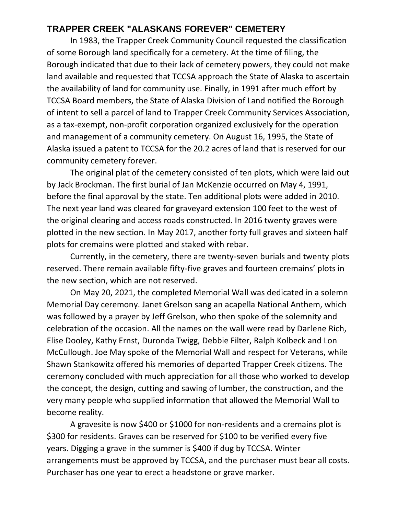#### **TRAPPER CREEK "ALASKANS FOREVER" CEMETERY**

In 1983, the Trapper Creek Community Council requested the classification of some Borough land specifically for a cemetery. At the time of filing, the Borough indicated that due to their lack of cemetery powers, they could not make land available and requested that TCCSA approach the State of Alaska to ascertain the availability of land for community use. Finally, in 1991 after much effort by TCCSA Board members, the State of Alaska Division of Land notified the Borough of intent to sell a parcel of land to Trapper Creek Community Services Association, as a tax-exempt, non-profit corporation organized exclusively for the operation and management of a community cemetery. On August 16, 1995, the State of Alaska issued a patent to TCCSA for the 20.2 acres of land that is reserved for our community cemetery forever.

The original plat of the cemetery consisted of ten plots, which were laid out by Jack Brockman. The first burial of Jan McKenzie occurred on May 4, 1991, before the final approval by the state. Ten additional plots were added in 2010. The next year land was cleared for graveyard extension 100 feet to the west of the original clearing and access roads constructed. In 2016 twenty graves were plotted in the new section. In May 2017, another forty full graves and sixteen half plots for cremains were plotted and staked with rebar.

Currently, in the cemetery, there are twenty-seven burials and twenty plots reserved. There remain available fifty-five graves and fourteen cremains' plots in the new section, which are not reserved.

On May 20, 2021, the completed Memorial Wall was dedicated in a solemn Memorial Day ceremony. Janet Grelson sang an acapella National Anthem, which was followed by a prayer by Jeff Grelson, who then spoke of the solemnity and celebration of the occasion. All the names on the wall were read by Darlene Rich, Elise Dooley, Kathy Ernst, Duronda Twigg, Debbie Filter, Ralph Kolbeck and Lon McCullough. Joe May spoke of the Memorial Wall and respect for Veterans, while Shawn Stankowitz offered his memories of departed Trapper Creek citizens. The ceremony concluded with much appreciation for all those who worked to develop the concept, the design, cutting and sawing of lumber, the construction, and the very many people who supplied information that allowed the Memorial Wall to become reality.

A gravesite is now \$400 or \$1000 for non-residents and a cremains plot is \$300 for residents. Graves can be reserved for \$100 to be verified every five years. Digging a grave in the summer is \$400 if dug by TCCSA. Winter arrangements must be approved by TCCSA, and the purchaser must bear all costs. Purchaser has one year to erect a headstone or grave marker.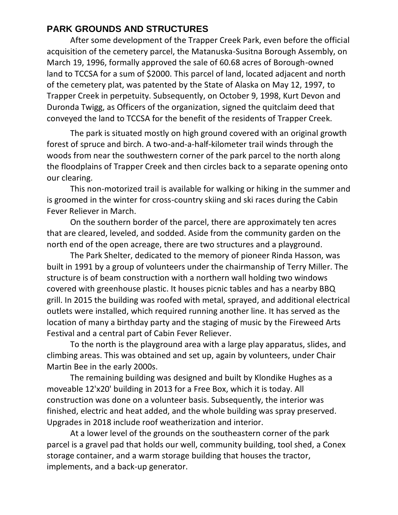### **PARK GROUNDS AND STRUCTURES**

After some development of the Trapper Creek Park, even before the official acquisition of the cemetery parcel, the Matanuska-Susitna Borough Assembly, on March 19, 1996, formally approved the sale of 60.68 acres of Borough-owned land to TCCSA for a sum of \$2000. This parcel of land, located adjacent and north of the cemetery plat, was patented by the State of Alaska on May 12, 1997, to Trapper Creek in perpetuity. Subsequently, on October 9, 1998, Kurt Devon and Duronda Twigg, as Officers of the organization, signed the quitclaim deed that conveyed the land to TCCSA for the benefit of the residents of Trapper Creek.

The park is situated mostly on high ground covered with an original growth forest of spruce and birch. A two-and-a-half-kilometer trail winds through the woods from near the southwestern corner of the park parcel to the north along the floodplains of Trapper Creek and then circles back to a separate opening onto our clearing.

This non-motorized trail is available for walking or hiking in the summer and is groomed in the winter for cross-country skiing and ski races during the Cabin Fever Reliever in March.

On the southern border of the parcel, there are approximately ten acres that are cleared, leveled, and sodded. Aside from the community garden on the north end of the open acreage, there are two structures and a playground.

The Park Shelter, dedicated to the memory of pioneer Rinda Hasson, was built in 1991 by a group of volunteers under the chairmanship of Terry Miller. The structure is of beam construction with a northern wall holding two windows covered with greenhouse plastic. It houses picnic tables and has a nearby BBQ grill. In 2015 the building was roofed with metal, sprayed, and additional electrical outlets were installed, which required running another line. It has served as the location of many a birthday party and the staging of music by the Fireweed Arts Festival and a central part of Cabin Fever Reliever.

To the north is the playground area with a large play apparatus, slides, and climbing areas. This was obtained and set up, again by volunteers, under Chair Martin Bee in the early 2000s.

The remaining building was designed and built by Klondike Hughes as a moveable 12'x20' building in 2013 for a Free Box, which it is today. All construction was done on a volunteer basis. Subsequently, the interior was finished, electric and heat added, and the whole building was spray preserved. Upgrades in 2018 include roof weatherization and interior.

At a lower level of the grounds on the southeastern corner of the park parcel is a gravel pad that holds our well, community building, tool shed, a Conex storage container, and a warm storage building that houses the tractor, implements, and a back-up generator.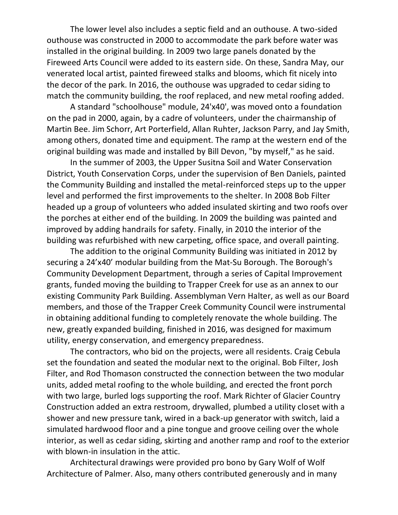The lower level also includes a septic field and an outhouse. A two-sided outhouse was constructed in 2000 to accommodate the park before water was installed in the original building. In 2009 two large panels donated by the Fireweed Arts Council were added to its eastern side. On these, Sandra May, our venerated local artist, painted fireweed stalks and blooms, which fit nicely into the decor of the park. In 2016, the outhouse was upgraded to cedar siding to match the community building, the roof replaced, and new metal roofing added.

A standard "schoolhouse" module, 24'x40', was moved onto a foundation on the pad in 2000, again, by a cadre of volunteers, under the chairmanship of Martin Bee. Jim Schorr, Art Porterfield, Allan Ruhter, Jackson Parry, and Jay Smith, among others, donated time and equipment. The ramp at the western end of the original building was made and installed by Bill Devon, "by myself," as he said.

In the summer of 2003, the Upper Susitna Soil and Water Conservation District, Youth Conservation Corps, under the supervision of Ben Daniels, painted the Community Building and installed the metal-reinforced steps up to the upper level and performed the first improvements to the shelter. In 2008 Bob Filter headed up a group of volunteers who added insulated skirting and two roofs over the porches at either end of the building. In 2009 the building was painted and improved by adding handrails for safety. Finally, in 2010 the interior of the building was refurbished with new carpeting, office space, and overall painting.

The addition to the original Community Building was initiated in 2012 by securing a 24'x40' modular building from the Mat-Su Borough. The Borough's Community Development Department, through a series of Capital Improvement grants, funded moving the building to Trapper Creek for use as an annex to our existing Community Park Building. Assemblyman Vern Halter, as well as our Board members, and those of the Trapper Creek Community Council were instrumental in obtaining additional funding to completely renovate the whole building. The new, greatly expanded building, finished in 2016, was designed for maximum utility, energy conservation, and emergency preparedness.

The contractors, who bid on the projects, were all residents. Craig Cebula set the foundation and seated the modular next to the original. Bob Filter, Josh Filter, and Rod Thomason constructed the connection between the two modular units, added metal roofing to the whole building, and erected the front porch with two large, burled logs supporting the roof. Mark Richter of Glacier Country Construction added an extra restroom, drywalled, plumbed a utility closet with a shower and new pressure tank, wired in a back-up generator with switch, laid a simulated hardwood floor and a pine tongue and groove ceiling over the whole interior, as well as cedar siding, skirting and another ramp and roof to the exterior with blown-in insulation in the attic.

Architectural drawings were provided pro bono by Gary Wolf of Wolf Architecture of Palmer. Also, many others contributed generously and in many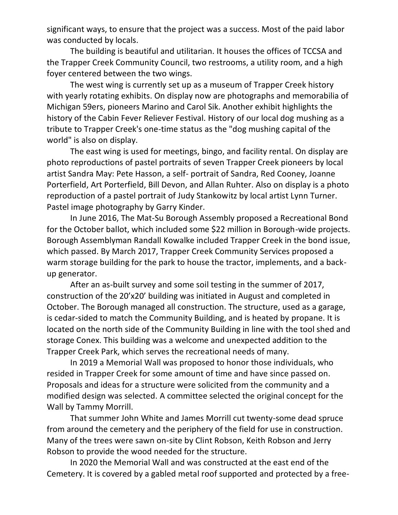significant ways, to ensure that the project was a success. Most of the paid labor was conducted by locals.

The building is beautiful and utilitarian. It houses the offices of TCCSA and the Trapper Creek Community Council, two restrooms, a utility room, and a high foyer centered between the two wings.

The west wing is currently set up as a museum of Trapper Creek history with yearly rotating exhibits. On display now are photographs and memorabilia of Michigan 59ers, pioneers Marino and Carol Sik. Another exhibit highlights the history of the Cabin Fever Reliever Festival. History of our local dog mushing as a tribute to Trapper Creek's one-time status as the "dog mushing capital of the world" is also on display.

The east wing is used for meetings, bingo, and facility rental. On display are photo reproductions of pastel portraits of seven Trapper Creek pioneers by local artist Sandra May: Pete Hasson, a self- portrait of Sandra, Red Cooney, Joanne Porterfield, Art Porterfield, Bill Devon, and Allan Ruhter. Also on display is a photo reproduction of a pastel portrait of Judy Stankowitz by local artist Lynn Turner. Pastel image photography by Garry Kinder.

In June 2016, The Mat-Su Borough Assembly proposed a Recreational Bond for the October ballot, which included some \$22 million in Borough-wide projects. Borough Assemblyman Randall Kowalke included Trapper Creek in the bond issue, which passed. By March 2017, Trapper Creek Community Services proposed a warm storage building for the park to house the tractor, implements, and a backup generator.

After an as-built survey and some soil testing in the summer of 2017, construction of the 20'x20' building was initiated in August and completed in October. The Borough managed all construction. The structure, used as a garage, is cedar-sided to match the Community Building, and is heated by propane. It is located on the north side of the Community Building in line with the tool shed and storage Conex. This building was a welcome and unexpected addition to the Trapper Creek Park, which serves the recreational needs of many.

In 2019 a Memorial Wall was proposed to honor those individuals, who resided in Trapper Creek for some amount of time and have since passed on. Proposals and ideas for a structure were solicited from the community and a modified design was selected. A committee selected the original concept for the Wall by Tammy Morrill.

That summer John White and James Morrill cut twenty-some dead spruce from around the cemetery and the periphery of the field for use in construction. Many of the trees were sawn on-site by Clint Robson, Keith Robson and Jerry Robson to provide the wood needed for the structure.

In 2020 the Memorial Wall and was constructed at the east end of the Cemetery. It is covered by a gabled metal roof supported and protected by a free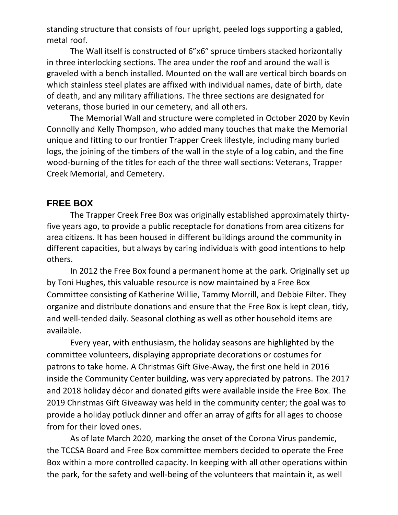standing structure that consists of four upright, peeled logs supporting a gabled, metal roof.

The Wall itself is constructed of 6"x6" spruce timbers stacked horizontally in three interlocking sections. The area under the roof and around the wall is graveled with a bench installed. Mounted on the wall are vertical birch boards on which stainless steel plates are affixed with individual names, date of birth, date of death, and any military affiliations. The three sections are designated for veterans, those buried in our cemetery, and all others.

The Memorial Wall and structure were completed in October 2020 by Kevin Connolly and Kelly Thompson, who added many touches that make the Memorial unique and fitting to our frontier Trapper Creek lifestyle, including many burled logs, the joining of the timbers of the wall in the style of a log cabin, and the fine wood-burning of the titles for each of the three wall sections: Veterans, Trapper Creek Memorial, and Cemetery.

#### **FREE BOX**

The Trapper Creek Free Box was originally established approximately thirtyfive years ago, to provide a public receptacle for donations from area citizens for area citizens. It has been housed in different buildings around the community in different capacities, but always by caring individuals with good intentions to help others.

In 2012 the Free Box found a permanent home at the park. Originally set up by Toni Hughes, this valuable resource is now maintained by a Free Box Committee consisting of Katherine Willie, Tammy Morrill, and Debbie Filter. They organize and distribute donations and ensure that the Free Box is kept clean, tidy, and well-tended daily. Seasonal clothing as well as other household items are available.

Every year, with enthusiasm, the holiday seasons are highlighted by the committee volunteers, displaying appropriate decorations or costumes for patrons to take home. A Christmas Gift Give-Away, the first one held in 2016 inside the Community Center building, was very appreciated by patrons. The 2017 and 2018 holiday décor and donated gifts were available inside the Free Box. The 2019 Christmas Gift Giveaway was held in the community center; the goal was to provide a holiday potluck dinner and offer an array of gifts for all ages to choose from for their loved ones.

As of late March 2020, marking the onset of the Corona Virus pandemic, the TCCSA Board and Free Box committee members decided to operate the Free Box within a more controlled capacity. In keeping with all other operations within the park, for the safety and well-being of the volunteers that maintain it, as well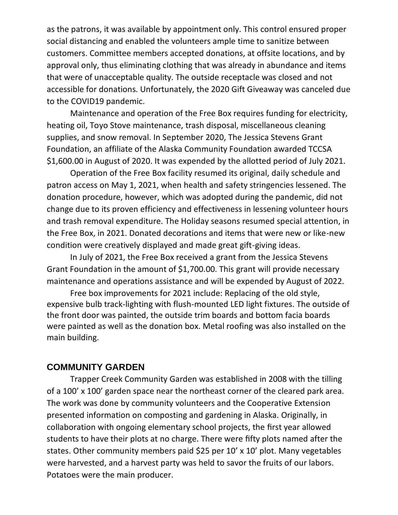as the patrons, it was available by appointment only. This control ensured proper social distancing and enabled the volunteers ample time to sanitize between customers. Committee members accepted donations, at offsite locations, and by approval only, thus eliminating clothing that was already in abundance and items that were of unacceptable quality. The outside receptacle was closed and not accessible for donations. Unfortunately, the 2020 Gift Giveaway was canceled due to the COVID19 pandemic.

Maintenance and operation of the Free Box requires funding for electricity, heating oil, Toyo Stove maintenance, trash disposal, miscellaneous cleaning supplies, and snow removal. In September 2020, The Jessica Stevens Grant Foundation, an affiliate of the Alaska Community Foundation awarded TCCSA \$1,600.00 in August of 2020. It was expended by the allotted period of July 2021.

Operation of the Free Box facility resumed its original, daily schedule and patron access on May 1, 2021, when health and safety stringencies lessened. The donation procedure, however, which was adopted during the pandemic, did not change due to its proven efficiency and effectiveness in lessening volunteer hours and trash removal expenditure. The Holiday seasons resumed special attention, in the Free Box, in 2021. Donated decorations and items that were new or like-new condition were creatively displayed and made great gift-giving ideas.

In July of 2021, the Free Box received a grant from the Jessica Stevens Grant Foundation in the amount of \$1,700.00. This grant will provide necessary maintenance and operations assistance and will be expended by August of 2022.

Free box improvements for 2021 include: Replacing of the old style, expensive bulb track-lighting with flush-mounted LED light fixtures. The outside of the front door was painted, the outside trim boards and bottom facia boards were painted as well as the donation box. Metal roofing was also installed on the main building.

#### **COMMUNITY GARDEN**

Trapper Creek Community Garden was established in 2008 with the tilling of a 100' x 100' garden space near the northeast corner of the cleared park area. The work was done by community volunteers and the Cooperative Extension presented information on composting and gardening in Alaska. Originally, in collaboration with ongoing elementary school projects, the first year allowed students to have their plots at no charge. There were fifty plots named after the states. Other community members paid \$25 per 10' x 10' plot. Many vegetables were harvested, and a harvest party was held to savor the fruits of our labors. Potatoes were the main producer.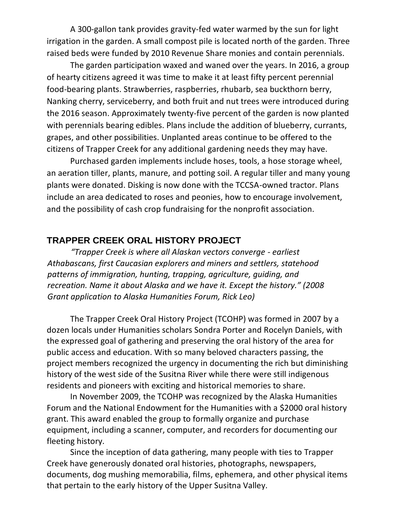A 300-gallon tank provides gravity-fed water warmed by the sun for light irrigation in the garden. A small compost pile is located north of the garden. Three raised beds were funded by 2010 Revenue Share monies and contain perennials.

The garden participation waxed and waned over the years. In 2016, a group of hearty citizens agreed it was time to make it at least fifty percent perennial food-bearing plants. Strawberries, raspberries, rhubarb, sea buckthorn berry, Nanking cherry, serviceberry, and both fruit and nut trees were introduced during the 2016 season. Approximately twenty-five percent of the garden is now planted with perennials bearing edibles. Plans include the addition of blueberry, currants, grapes, and other possibilities. Unplanted areas continue to be offered to the citizens of Trapper Creek for any additional gardening needs they may have.

Purchased garden implements include hoses, tools, a hose storage wheel, an aeration tiller, plants, manure, and potting soil. A regular tiller and many young plants were donated. Disking is now done with the TCCSA-owned tractor. Plans include an area dedicated to roses and peonies, how to encourage involvement, and the possibility of cash crop fundraising for the nonprofit association.

#### **TRAPPER CREEK ORAL HISTORY PROJECT**

*"Trapper Creek is where all Alaskan vectors converge - earliest Athabascans, first Caucasian explorers and miners and settlers, statehood patterns of immigration, hunting, trapping, agriculture, guiding, and recreation. Name it about Alaska and we have it. Except the history." (2008 Grant application to Alaska Humanities Forum, Rick Leo)*

The Trapper Creek Oral History Project (TCOHP) was formed in 2007 by a dozen locals under Humanities scholars Sondra Porter and Rocelyn Daniels, with the expressed goal of gathering and preserving the oral history of the area for public access and education. With so many beloved characters passing, the project members recognized the urgency in documenting the rich but diminishing history of the west side of the Susitna River while there were still indigenous residents and pioneers with exciting and historical memories to share.

In November 2009, the TCOHP was recognized by the Alaska Humanities Forum and the National Endowment for the Humanities with a \$2000 oral history grant. This award enabled the group to formally organize and purchase equipment, including a scanner, computer, and recorders for documenting our fleeting history.

Since the inception of data gathering, many people with ties to Trapper Creek have generously donated oral histories, photographs, newspapers, documents, dog mushing memorabilia, films, ephemera, and other physical items that pertain to the early history of the Upper Susitna Valley.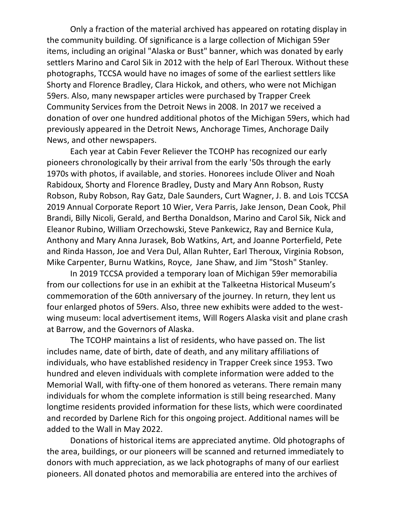Only a fraction of the material archived has appeared on rotating display in the community building. Of significance is a large collection of Michigan 59er items, including an original "Alaska or Bust" banner, which was donated by early settlers Marino and Carol Sik in 2012 with the help of Earl Theroux. Without these photographs, TCCSA would have no images of some of the earliest settlers like Shorty and Florence Bradley, Clara Hickok, and others, who were not Michigan 59ers. Also, many newspaper articles were purchased by Trapper Creek Community Services from the Detroit News in 2008. In 2017 we received a donation of over one hundred additional photos of the Michigan 59ers, which had previously appeared in the Detroit News, Anchorage Times, Anchorage Daily News, and other newspapers.

Each year at Cabin Fever Reliever the TCOHP has recognized our early pioneers chronologically by their arrival from the early '50s through the early 1970s with photos, if available, and stories. Honorees include Oliver and Noah Rabidoux, Shorty and Florence Bradley, Dusty and Mary Ann Robson, Rusty Robson, Ruby Robson, Ray Gatz, Dale Saunders, Curt Wagner, J. B. and Lois TCCSA 2019 Annual Corporate Report 10 Wier, Vera Parris, Jake Jenson, Dean Cook, Phil Brandi, Billy Nicoli, Gerald, and Bertha Donaldson, Marino and Carol Sik, Nick and Eleanor Rubino, William Orzechowski, Steve Pankewicz, Ray and Bernice Kula, Anthony and Mary Anna Jurasek, Bob Watkins, Art, and Joanne Porterfield, Pete and Rinda Hasson, Joe and Vera Dul, Allan Ruhter, Earl Theroux, Virginia Robson, Mike Carpenter, Burnu Watkins, Royce, Jane Shaw, and Jim "Stosh" Stanley.

In 2019 TCCSA provided a temporary loan of Michigan 59er memorabilia from our collections for use in an exhibit at the Talkeetna Historical Museum's commemoration of the 60th anniversary of the journey. In return, they lent us four enlarged photos of 59ers. Also, three new exhibits were added to the westwing museum: local advertisement items, Will Rogers Alaska visit and plane crash at Barrow, and the Governors of Alaska.

The TCOHP maintains a list of residents, who have passed on. The list includes name, date of birth, date of death, and any military affiliations of individuals, who have established residency in Trapper Creek since 1953. Two hundred and eleven individuals with complete information were added to the Memorial Wall, with fifty-one of them honored as veterans. There remain many individuals for whom the complete information is still being researched. Many longtime residents provided information for these lists, which were coordinated and recorded by Darlene Rich for this ongoing project. Additional names will be added to the Wall in May 2022.

Donations of historical items are appreciated anytime. Old photographs of the area, buildings, or our pioneers will be scanned and returned immediately to donors with much appreciation, as we lack photographs of many of our earliest pioneers. All donated photos and memorabilia are entered into the archives of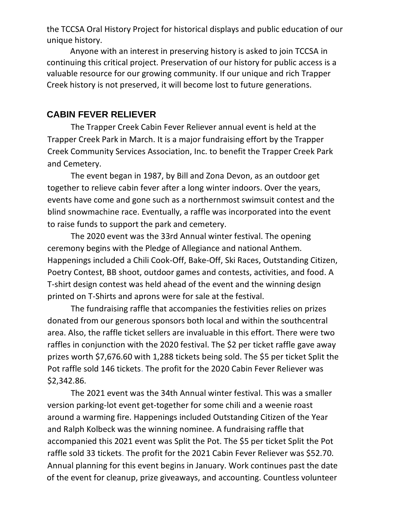the TCCSA Oral History Project for historical displays and public education of our unique history.

Anyone with an interest in preserving history is asked to join TCCSA in continuing this critical project. Preservation of our history for public access is a valuable resource for our growing community. If our unique and rich Trapper Creek history is not preserved, it will become lost to future generations.

#### **CABIN FEVER RELIEVER**

The Trapper Creek Cabin Fever Reliever annual event is held at the Trapper Creek Park in March. It is a major fundraising effort by the Trapper Creek Community Services Association, Inc. to benefit the Trapper Creek Park and Cemetery.

The event began in 1987, by Bill and Zona Devon, as an outdoor get together to relieve cabin fever after a long winter indoors. Over the years, events have come and gone such as a northernmost swimsuit contest and the blind snowmachine race. Eventually, a raffle was incorporated into the event to raise funds to support the park and cemetery.

The 2020 event was the 33rd Annual winter festival. The opening ceremony begins with the Pledge of Allegiance and national Anthem. Happenings included a Chili Cook-Off, Bake-Off, Ski Races, Outstanding Citizen, Poetry Contest, BB shoot, outdoor games and contests, activities, and food. A T-shirt design contest was held ahead of the event and the winning design printed on T-Shirts and aprons were for sale at the festival.

The fundraising raffle that accompanies the festivities relies on prizes donated from our generous sponsors both local and within the southcentral area. Also, the raffle ticket sellers are invaluable in this effort. There were two raffles in conjunction with the 2020 festival. The \$2 per ticket raffle gave away prizes worth \$7,676.60 with 1,288 tickets being sold. The \$5 per ticket Split the Pot raffle sold 146 tickets. The profit for the 2020 Cabin Fever Reliever was \$2,342.86.

The 2021 event was the 34th Annual winter festival. This was a smaller version parking-lot event get-together for some chili and a weenie roast around a warming fire. Happenings included Outstanding Citizen of the Year and Ralph Kolbeck was the winning nominee. A fundraising raffle that accompanied this 2021 event was Split the Pot. The \$5 per ticket Split the Pot raffle sold 33 tickets. The profit for the 2021 Cabin Fever Reliever was \$52.70. Annual planning for this event begins in January. Work continues past the date of the event for cleanup, prize giveaways, and accounting. Countless volunteer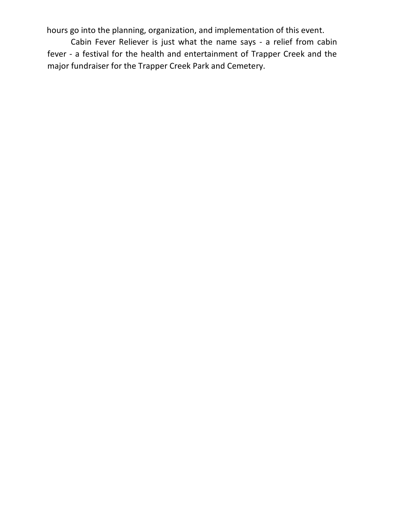hours go into the planning, organization, and implementation of this event.

Cabin Fever Reliever is just what the name says - a relief from cabin fever - a festival for the health and entertainment of Trapper Creek and the major fundraiser for the Trapper Creek Park and Cemetery.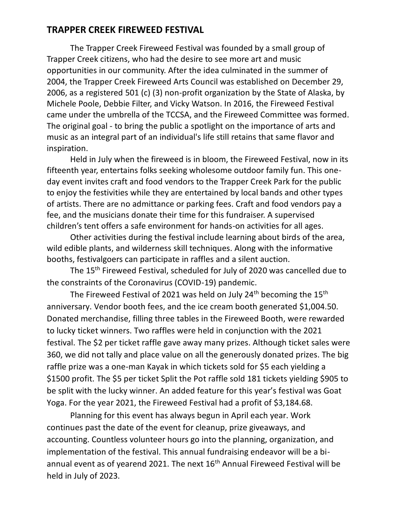#### **TRAPPER CREEK FIREWEED FESTIVAL**

The Trapper Creek Fireweed Festival was founded by a small group of Trapper Creek citizens, who had the desire to see more art and music opportunities in our community. After the idea culminated in the summer of 2004, the Trapper Creek Fireweed Arts Council was established on December 29, 2006, as a registered 501 (c) (3) non-profit organization by the State of Alaska, by Michele Poole, Debbie Filter, and Vicky Watson. In 2016, the Fireweed Festival came under the umbrella of the TCCSA, and the Fireweed Committee was formed. The original goal - to bring the public a spotlight on the importance of arts and music as an integral part of an individual's life still retains that same flavor and inspiration.

Held in July when the fireweed is in bloom, the Fireweed Festival, now in its fifteenth year, entertains folks seeking wholesome outdoor family fun. This oneday event invites craft and food vendors to the Trapper Creek Park for the public to enjoy the festivities while they are entertained by local bands and other types of artists. There are no admittance or parking fees. Craft and food vendors pay a fee, and the musicians donate their time for this fundraiser. A supervised children's tent offers a safe environment for hands-on activities for all ages.

Other activities during the festival include learning about birds of the area, wild edible plants, and wilderness skill techniques. Along with the informative booths, festivalgoers can participate in raffles and a silent auction.

The 15<sup>th</sup> Fireweed Festival, scheduled for July of 2020 was cancelled due to the constraints of the Coronavirus (COVID-19) pandemic.

The Fireweed Festival of 2021 was held on July  $24<sup>th</sup>$  becoming the  $15<sup>th</sup>$ anniversary. Vendor booth fees, and the ice cream booth generated \$1,004.50. Donated merchandise, filling three tables in the Fireweed Booth, were rewarded to lucky ticket winners. Two raffles were held in conjunction with the 2021 festival. The \$2 per ticket raffle gave away many prizes. Although ticket sales were 360, we did not tally and place value on all the generously donated prizes. The big raffle prize was a one-man Kayak in which tickets sold for \$5 each yielding a \$1500 profit. The \$5 per ticket Split the Pot raffle sold 181 tickets yielding \$905 to be split with the lucky winner. An added feature for this year's festival was Goat Yoga. For the year 2021, the Fireweed Festival had a profit of \$3,184.68.

Planning for this event has always begun in April each year. Work continues past the date of the event for cleanup, prize giveaways, and accounting. Countless volunteer hours go into the planning, organization, and implementation of the festival. This annual fundraising endeavor will be a biannual event as of yearend 2021. The next 16<sup>th</sup> Annual Fireweed Festival will be held in July of 2023.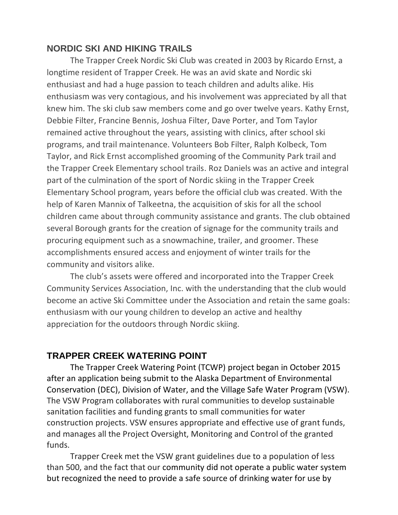### **NORDIC SKI AND HIKING TRAILS**

The Trapper Creek Nordic Ski Club was created in 2003 by Ricardo Ernst, a longtime resident of Trapper Creek. He was an avid skate and Nordic ski enthusiast and had a huge passion to teach children and adults alike. His enthusiasm was very contagious, and his involvement was appreciated by all that knew him. The ski club saw members come and go over twelve years. Kathy Ernst, Debbie Filter, Francine Bennis, Joshua Filter, Dave Porter, and Tom Taylor remained active throughout the years, assisting with clinics, after school ski programs, and trail maintenance. Volunteers Bob Filter, Ralph Kolbeck, Tom Taylor, and Rick Ernst accomplished grooming of the Community Park trail and the Trapper Creek Elementary school trails. Roz Daniels was an active and integral part of the culmination of the sport of Nordic skiing in the Trapper Creek Elementary School program, years before the official club was created. With the help of Karen Mannix of Talkeetna, the acquisition of skis for all the school children came about through community assistance and grants. The club obtained several Borough grants for the creation of signage for the community trails and procuring equipment such as a snowmachine, trailer, and groomer. These accomplishments ensured access and enjoyment of winter trails for the community and visitors alike.

The club's assets were offered and incorporated into the Trapper Creek Community Services Association, Inc. with the understanding that the club would become an active Ski Committee under the Association and retain the same goals: enthusiasm with our young children to develop an active and healthy appreciation for the outdoors through Nordic skiing.

## **TRAPPER CREEK WATERING POINT**

The Trapper Creek Watering Point (TCWP) project began in October 2015 after an application being submit to the Alaska Department of Environmental Conservation (DEC), Division of Water, and the Village Safe Water Program (VSW). The VSW Program collaborates with rural communities to develop sustainable sanitation facilities and funding grants to small communities for water construction projects. VSW ensures appropriate and effective use of grant funds, and manages all the Project Oversight, Monitoring and Control of the granted funds.

Trapper Creek met the VSW grant guidelines due to a population of less than 500, and the fact that our community did not operate a public water system but recognized the need to provide a safe source of drinking water for use by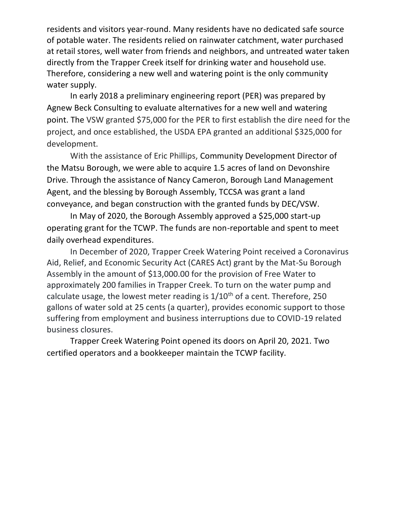residents and visitors year-round. Many residents have no dedicated safe source of potable water. The residents relied on rainwater catchment, water purchased at retail stores, well water from friends and neighbors, and untreated water taken directly from the Trapper Creek itself for drinking water and household use. Therefore, considering a new well and watering point is the only community water supply.

In early 2018 a preliminary engineering report (PER) was prepared by Agnew Beck Consulting to evaluate alternatives for a new well and watering point. The VSW granted \$75,000 for the PER to first establish the dire need for the project, and once established, the USDA EPA granted an additional \$325,000 for development.

With the assistance of Eric Phillips, Community Development Director of the Matsu Borough, we were able to acquire 1.5 acres of land on Devonshire Drive. Through the assistance of Nancy Cameron, Borough Land Management Agent, and the blessing by Borough Assembly, TCCSA was grant a land conveyance, and began construction with the granted funds by DEC/VSW.

In May of 2020, the Borough Assembly approved a \$25,000 start-up operating grant for the TCWP. The funds are non-reportable and spent to meet daily overhead expenditures.

In December of 2020, Trapper Creek Watering Point received a Coronavirus Aid, Relief, and Economic Security Act (CARES Act) grant by the Mat-Su Borough Assembly in the amount of \$13,000.00 for the provision of Free Water to approximately 200 families in Trapper Creek. To turn on the water pump and calculate usage, the lowest meter reading is  $1/10^{th}$  of a cent. Therefore, 250 gallons of water sold at 25 cents (a quarter), provides economic support to those suffering from employment and business interruptions due to COVID-19 related business closures.

Trapper Creek Watering Point opened its doors on April 20, 2021. Two certified operators and a bookkeeper maintain the TCWP facility.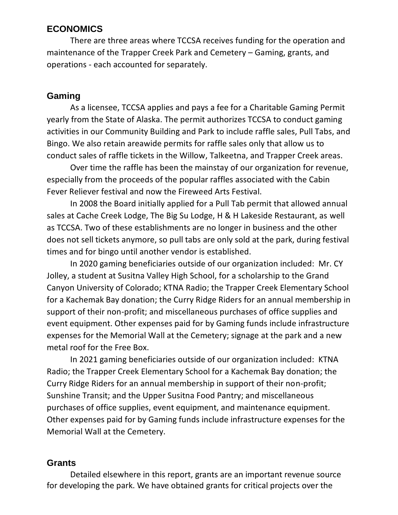#### **ECONOMICS**

There are three areas where TCCSA receives funding for the operation and maintenance of the Trapper Creek Park and Cemetery – Gaming, grants, and operations - each accounted for separately.

#### **Gaming**

As a licensee, TCCSA applies and pays a fee for a Charitable Gaming Permit yearly from the State of Alaska. The permit authorizes TCCSA to conduct gaming activities in our Community Building and Park to include raffle sales, Pull Tabs, and Bingo. We also retain areawide permits for raffle sales only that allow us to conduct sales of raffle tickets in the Willow, Talkeetna, and Trapper Creek areas.

Over time the raffle has been the mainstay of our organization for revenue, especially from the proceeds of the popular raffles associated with the Cabin Fever Reliever festival and now the Fireweed Arts Festival.

In 2008 the Board initially applied for a Pull Tab permit that allowed annual sales at Cache Creek Lodge, The Big Su Lodge, H & H Lakeside Restaurant, as well as TCCSA. Two of these establishments are no longer in business and the other does not sell tickets anymore, so pull tabs are only sold at the park, during festival times and for bingo until another vendor is established.

In 2020 gaming beneficiaries outside of our organization included: Mr. CY Jolley, a student at Susitna Valley High School, for a scholarship to the Grand Canyon University of Colorado; KTNA Radio; the Trapper Creek Elementary School for a Kachemak Bay donation; the Curry Ridge Riders for an annual membership in support of their non-profit; and miscellaneous purchases of office supplies and event equipment. Other expenses paid for by Gaming funds include infrastructure expenses for the Memorial Wall at the Cemetery; signage at the park and a new metal roof for the Free Box.

In 2021 gaming beneficiaries outside of our organization included: KTNA Radio; the Trapper Creek Elementary School for a Kachemak Bay donation; the Curry Ridge Riders for an annual membership in support of their non-profit; Sunshine Transit; and the Upper Susitna Food Pantry; and miscellaneous purchases of office supplies, event equipment, and maintenance equipment. Other expenses paid for by Gaming funds include infrastructure expenses for the Memorial Wall at the Cemetery.

#### **Grants**

Detailed elsewhere in this report, grants are an important revenue source for developing the park. We have obtained grants for critical projects over the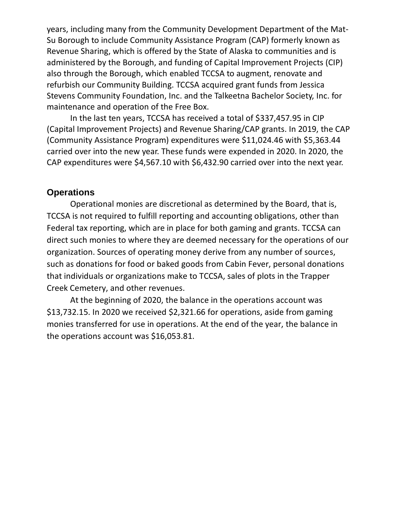years, including many from the Community Development Department of the Mat-Su Borough to include Community Assistance Program (CAP) formerly known as Revenue Sharing, which is offered by the State of Alaska to communities and is administered by the Borough, and funding of Capital Improvement Projects (CIP) also through the Borough, which enabled TCCSA to augment, renovate and refurbish our Community Building. TCCSA acquired grant funds from Jessica Stevens Community Foundation, Inc. and the Talkeetna Bachelor Society, Inc. for maintenance and operation of the Free Box.

In the last ten years, TCCSA has received a total of \$337,457.95 in CIP (Capital Improvement Projects) and Revenue Sharing/CAP grants. In 2019, the CAP (Community Assistance Program) expenditures were \$11,024.46 with \$5,363.44 carried over into the new year. These funds were expended in 2020. In 2020, the CAP expenditures were \$4,567.10 with \$6,432.90 carried over into the next year.

#### **Operations**

Operational monies are discretional as determined by the Board, that is, TCCSA is not required to fulfill reporting and accounting obligations, other than Federal tax reporting, which are in place for both gaming and grants. TCCSA can direct such monies to where they are deemed necessary for the operations of our organization. Sources of operating money derive from any number of sources, such as donations for food or baked goods from Cabin Fever, personal donations that individuals or organizations make to TCCSA, sales of plots in the Trapper Creek Cemetery, and other revenues.

At the beginning of 2020, the balance in the operations account was \$13,732.15. In 2020 we received \$2,321.66 for operations, aside from gaming monies transferred for use in operations. At the end of the year, the balance in the operations account was \$16,053.81.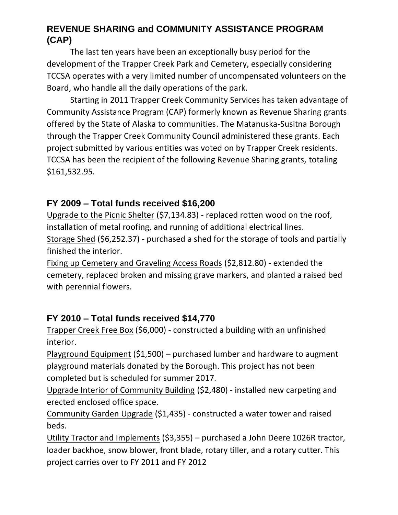## **REVENUE SHARING and COMMUNITY ASSISTANCE PROGRAM (CAP)**

The last ten years have been an exceptionally busy period for the development of the Trapper Creek Park and Cemetery, especially considering TCCSA operates with a very limited number of uncompensated volunteers on the Board, who handle all the daily operations of the park.

Starting in 2011 Trapper Creek Community Services has taken advantage of Community Assistance Program (CAP) formerly known as Revenue Sharing grants offered by the State of Alaska to communities. The Matanuska-Susitna Borough through the Trapper Creek Community Council administered these grants. Each project submitted by various entities was voted on by Trapper Creek residents. TCCSA has been the recipient of the following Revenue Sharing grants, totaling \$161,532.95.

## **FY 2009 – Total funds received \$16,200**

Upgrade to the Picnic Shelter (\$7,134.83) - replaced rotten wood on the roof, installation of metal roofing, and running of additional electrical lines. Storage Shed (\$6,252.37) - purchased a shed for the storage of tools and partially finished the interior.

Fixing up Cemetery and Graveling Access Roads (\$2,812.80) - extended the cemetery, replaced broken and missing grave markers, and planted a raised bed with perennial flowers.

## **FY 2010 – Total funds received \$14,770**

Trapper Creek Free Box (\$6,000) - constructed a building with an unfinished interior.

Playground Equipment (\$1,500) – purchased lumber and hardware to augment playground materials donated by the Borough. This project has not been completed but is scheduled for summer 2017.

Upgrade Interior of Community Building (\$2,480) - installed new carpeting and erected enclosed office space.

Community Garden Upgrade (\$1,435) - constructed a water tower and raised beds.

Utility Tractor and Implements (\$3,355) – purchased a John Deere 1026R tractor, loader backhoe, snow blower, front blade, rotary tiller, and a rotary cutter. This project carries over to FY 2011 and FY 2012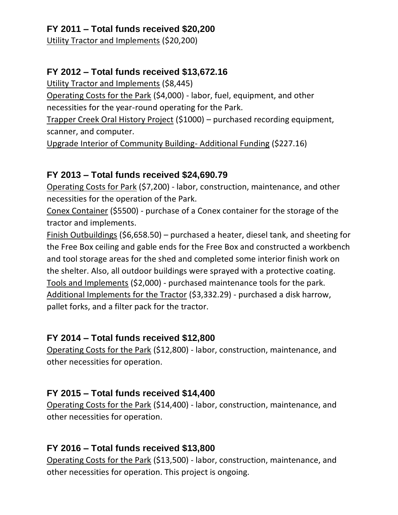## **FY 2011 – Total funds received \$20,200**

Utility Tractor and Implements (\$20,200)

## **FY 2012 – Total funds received \$13,672.16**

Utility Tractor and Implements (\$8,445)

Operating Costs for the Park (\$4,000) - labor, fuel, equipment, and other necessities for the year-round operating for the Park.

Trapper Creek Oral History Project (\$1000) – purchased recording equipment, scanner, and computer.

Upgrade Interior of Community Building- Additional Funding (\$227.16)

## **FY 2013 – Total funds received \$24,690.79**

Operating Costs for Park (\$7,200) - labor, construction, maintenance, and other necessities for the operation of the Park.

Conex Container (\$5500) - purchase of a Conex container for the storage of the tractor and implements.

Finish Outbuildings (\$6,658.50) – purchased a heater, diesel tank, and sheeting for the Free Box ceiling and gable ends for the Free Box and constructed a workbench and tool storage areas for the shed and completed some interior finish work on the shelter. Also, all outdoor buildings were sprayed with a protective coating. Tools and Implements (\$2,000) - purchased maintenance tools for the park. Additional Implements for the Tractor (\$3,332.29) - purchased a disk harrow, pallet forks, and a filter pack for the tractor.

## **FY 2014 – Total funds received \$12,800**

Operating Costs for the Park (\$12,800) - labor, construction, maintenance, and other necessities for operation.

## **FY 2015 – Total funds received \$14,400**

Operating Costs for the Park (\$14,400) - labor, construction, maintenance, and other necessities for operation.

## **FY 2016 – Total funds received \$13,800**

Operating Costs for the Park (\$13,500) - labor, construction, maintenance, and other necessities for operation. This project is ongoing.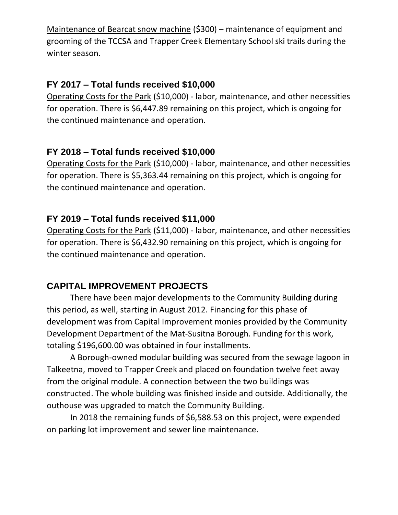Maintenance of Bearcat snow machine (\$300) – maintenance of equipment and grooming of the TCCSA and Trapper Creek Elementary School ski trails during the winter season.

## **FY 2017 – Total funds received \$10,000**

Operating Costs for the Park (\$10,000) - labor, maintenance, and other necessities for operation. There is \$6,447.89 remaining on this project, which is ongoing for the continued maintenance and operation.

#### **FY 2018 – Total funds received \$10,000**

Operating Costs for the Park (\$10,000) - labor, maintenance, and other necessities for operation. There is \$5,363.44 remaining on this project, which is ongoing for the continued maintenance and operation.

#### **FY 2019 – Total funds received \$11,000**

Operating Costs for the Park (\$11,000) - labor, maintenance, and other necessities for operation. There is \$6,432.90 remaining on this project, which is ongoing for the continued maintenance and operation.

#### **CAPITAL IMPROVEMENT PROJECTS**

There have been major developments to the Community Building during this period, as well, starting in August 2012. Financing for this phase of development was from Capital Improvement monies provided by the Community Development Department of the Mat-Susitna Borough. Funding for this work, totaling \$196,600.00 was obtained in four installments.

A Borough-owned modular building was secured from the sewage lagoon in Talkeetna, moved to Trapper Creek and placed on foundation twelve feet away from the original module. A connection between the two buildings was constructed. The whole building was finished inside and outside. Additionally, the outhouse was upgraded to match the Community Building.

In 2018 the remaining funds of \$6,588.53 on this project, were expended on parking lot improvement and sewer line maintenance.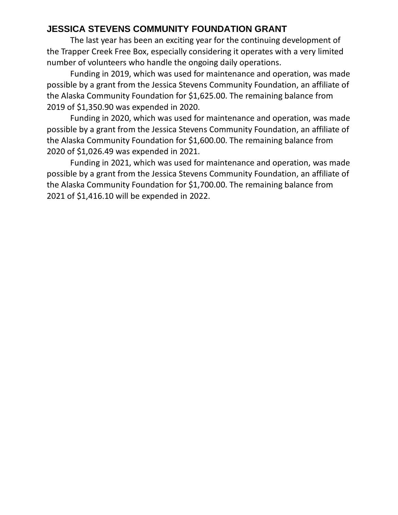## **JESSICA STEVENS COMMUNITY FOUNDATION GRANT**

The last year has been an exciting year for the continuing development of the Trapper Creek Free Box, especially considering it operates with a very limited number of volunteers who handle the ongoing daily operations.

Funding in 2019, which was used for maintenance and operation, was made possible by a grant from the Jessica Stevens Community Foundation, an affiliate of the Alaska Community Foundation for \$1,625.00. The remaining balance from 2019 of \$1,350.90 was expended in 2020.

Funding in 2020, which was used for maintenance and operation, was made possible by a grant from the Jessica Stevens Community Foundation, an affiliate of the Alaska Community Foundation for \$1,600.00. The remaining balance from 2020 of \$1,026.49 was expended in 2021.

Funding in 2021, which was used for maintenance and operation, was made possible by a grant from the Jessica Stevens Community Foundation, an affiliate of the Alaska Community Foundation for \$1,700.00. The remaining balance from 2021 of \$1,416.10 will be expended in 2022.